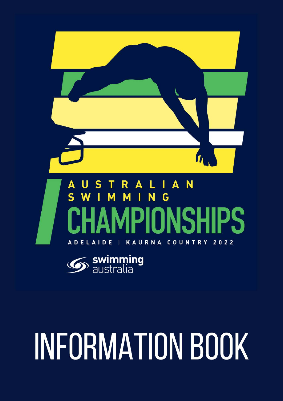



# **INFORMATION BOOK**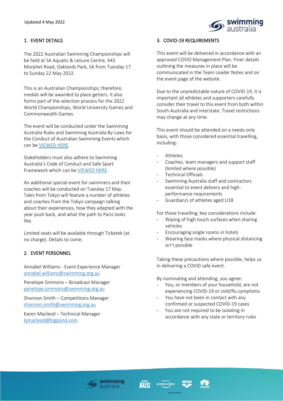

# 1. EVENT DETAILS

The 2022 Australian Swimming Championships will be held at SA Aquatic & Leisure Centre, 443 Morphet Road, Oaklands Park, SA from Tuesday 17 to Sunday 22 May 2022.

This is an Australian Championships; therefore, medals will be awarded to place getters. It also forms part of the selection process for the 2022 World Championships, World University Games and Commonwealth Games.

The event will be conducted under the Swimming Australia Rules and Swimming Australia By-Laws for the Conduct of Australian Swimming Events which can be [VIEWED HERE.](https://www.swimming.org.au/integrity-policies-rules/rules)

Stakeholders must also adhere to Swimming Australia's Code of Conduct and Safe Sport Framework which can be [VIEWED HERE.](https://www.swimming.org.au/integrity/codes-conduct)

An additional special event for swimmers and their coaches will be conducted on Tuesday 17 May. Tales from Tokyo will feature a number of athletes and coaches from the Tokyo campaign talking about their experiences, how they adapted with the year push back, and what the path to Paris looks like.

Limited seats will be available through Ticketek (at no charge). Details to come.

# 2. EVENT PERSONNEL

Annabel Williams - Event Experience Manager [annabel.williams@swimming.org.au](mailto:annabel.williams@swimming.org.au) 

Penelope Simmons – Broadcast Manager [penelope.simmons@swimming.org.au](mailto:penelope.simmons@swimming.org.au)

Shannon Smith – Competitions Manager [shannon.smith@swimming.org.au](mailto:shannon.smith@swimming.org.au) 

Karen Macleod – Technical Manager [kjmacleod@bigpond.com](mailto:kjmacleod@bigpond.com)

# 3. COVID-19 REQUIREMENTS

This event will be delivered in accordance with an approved COVID Management Plan. Finer details outlining the measures in place will be communicated in the Team Leader Notes and on the event page of the website.

Due to the unpredictable nature of COVID-19, it is important all athletes and supporters carefully consider their travel to this event from both within South Australia and interstate. Travel restrictions may change at any time.

This event should be attended on a needs-only basis, with those considered essential travelling, including:

- **Athletes**
- Coaches, team managers and support staff (limited where possible)
- Technical Officials
- Swimming Australia staff and contractors essential to event delivery and highperformance requirements
- Guardian/s of athletes aged U18

For those travelling, key considerations include:

- Wiping of high touch surfaces when sharing vehicles
- Encouraging single rooms in hotels
- Wearing face masks where physical distancing isn't possible

Taking these precautions where possible, helps us in delivering a COVID safe event.

By nominating and attending, you agree:

- You, or members of your household, are not experiencing COVID-19 or cold/flu symptoms
- You have not been in contact with any confirmed or suspected COVID-19 cases
- You are not required to be isolating in accordance with any state or territory rules





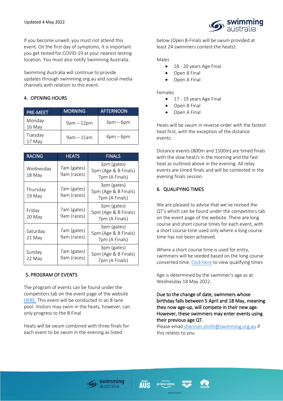

If you become unwell, you must not attend this event. On the first day of symptoms, it is important you get tested for COVID-19 at your nearest testing location. You must also notify Swimming Australia.

Swimming Australia will continue to provide updates through swimming.org.au and social media channels with relation to this event.

#### 4. OPENING HOURS

| <b>PRE-MEET</b>     | <b>MORNING</b> | <b>AFTERNOON</b> |
|---------------------|----------------|------------------|
| Monday<br>$16$ May  | $9am - 12pm$   | $3pm-6pm$        |
| Tuesday<br>$17$ May | $9am - 11am$   | $4pm-6pm$        |

| <b>RACING</b>       | <b>HEATS</b>               | <b>FINALS</b>                                         |  |  |
|---------------------|----------------------------|-------------------------------------------------------|--|--|
| Wednesday<br>18 May | 7am (gates)<br>9am (races) | 3pm (gates)<br>5pm (Age & B Finals)<br>7pm (A Finals) |  |  |
| Thursday<br>19 May  | 7am (gates)<br>9am (races) | 3pm (gates)<br>5pm (Age & B Finals)<br>7pm (A Finals) |  |  |
| Friday<br>20 May    | 7am (gates)<br>9am (races) | 3pm (gates)<br>5pm (Age & B Finals)<br>7pm (A Finals) |  |  |
| Saturday<br>21 May  | 7am (gates)<br>9am (races) | 3pm (gates)<br>5pm (Age & B Finals)<br>7pm (A Finals) |  |  |
| Sunday<br>22 May    | 7am (gates)<br>9am (races) | 3pm (gates)<br>5pm (Age & B Finals)<br>7pm (A Finals) |  |  |

# 5. PROGRAM OF EVENTS

The program of events can be found under the competitors tab on the event page of the websit[e](https://www.swimming.org.au/events/2022-australian-swimming-championships) [HERE.](https://www.swimming.org.au/events/2022-australian-swimming-championships) This event will be conducted in an 8-lane pool. Visitors may swim in the heats, however, can only progress to the B Final.

Heats will be swum combined with three finals for each event to be swum in the evening as listed

below (Open B-Finals will be swum provided at least 24 swimmers contest the heats):

#### Males

- 18 20 years Age Final
- Open B Final
- Open A Final

#### Females

- 17 19 years Age Final
- Open B Final
- Open A Final

Heats will be swum in reverse order with the fastest heat first, with the exception of the distance events.

Distance events (800m and 1500m) are timed finals with the slow heat/s in the morning and the fast heat as outlined above in the evening. All relay events are timed finals and will be contested in the evening finals session.

#### 6. QUALIFYING TIMES

We are pleased to advise that we've revised the QT's which can be found under the competitors tab on the event page of the website. There are long course and short course times for each event, with a short course time used only where a long course time has not been achieved.

Where a short course time is used for entry, swimmers will be seeded based on the long course converted time. [Click here](https://swimming.org.au/sites/default/files/assets/documents/2022%20Australian%20Swimming%20Championships%20QT%27s%201504.pdf) to view qualifying times

Age is determined by the swimmer's age as at Wednesday 18 May 2022.

Due to the change of date, swimmers whose birthday falls between 5 April and 18 May, meaning they now age-up, will compete in their new age. However, these swimmers may enter events using their previous age QT.

Please email [shannon.smith@swimming.org.au](mailto:%20shannon.smith@swimming.org.au) if this relates to you.





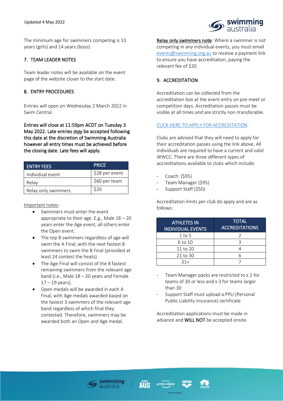

# 7. TEAM LEADER NOTES

 Team leader notes will be available on the event page of the website closer to the start date.

#### 8. ENTRY PROCEDURES

Entries will open on Wednesday 2 March 2022 in Swim Central.

Entries will close at 11:59pm ACDT on Tuesday 3 May 2022. Late entries *may* be accepted following this date at the discretion of Swimming Australia however all entry times must be achieved before the closing date. Late fees will apply.

| <b>ENTRY FEES</b>   | <b>PRICE</b>   |
|---------------------|----------------|
| Individual event    | \$28 per event |
| Relay               | \$60 per team  |
| Relay only swimmers | \$20           |

#### Important notes:

- Swimmers must enter the event appropriate to their age. E.g., Male  $18 - 20$ years enter the Age event, all others enter the Open event.
- The top 8 swimmers regardless of age will swim the A Final, with the next fastest 8 swimmers to swim the B Final (provided at least 24 contest the heats).
- The Age Final will consist of the 8 fastest remaining swimmers from the relevant age band (i.e., Male 18 – 20 years and Female  $17 - 19$  years).
- Open medals will be awarded in each A Final, with Age medals awarded based on the fastest 3 swimmers of the relevant age band regardless of which final they contested. Therefore, swimmers may be awarded both an Open and Age medal.

Relay only swimmers note: Where a swimmer is not competing in any individual events, you must email [events@swimming.org.au](mailto:events@swimming.org.au) to receive a payment link to ensure you have accreditation, paying the relevant fee of \$20.

swimming

# 9. ACCREDITATION

Accreditation can be collected from the accreditation box at the event entry on pre-meet or competition days. Accreditation passes must be visible at all times and are strictly non-transferable.

#### [CLICK HERE TO APPLY FOR ACCREDITATION.](https://swimmingaus.eventsair.com/2022-australian-swimming-championship/register)

Clubs are advised that they will need to apply for their accreditation passes using the link above. All individuals are required to have a current and valid WWCC. There are three different types of accreditations available to clubs which include:

- Coach: (\$95)
- Team Manager (\$95)
- Support Staff (\$50)

Accreditation limits per club do apply and are as follows:

| <b>ATHLETES IN</b><br><b>INDIVIDUAL EVENTS</b> | <b>TOTAL</b><br><b>ACCREDITATIONS</b> |
|------------------------------------------------|---------------------------------------|
| $1$ to 5                                       |                                       |
| 6 to 10                                        |                                       |
| 11 to 20                                       |                                       |
| 21 to 30                                       |                                       |
| $31+$                                          |                                       |

- Team Manager packs are restricted to x 2 for teams of 30 or less and x 3 for teams larger than 30
- Support Staff must upload a PPLI (Personal Public Liability Insurance) certificate

Accreditation applications must be made in advance and WILL NOT be accepted onsite.





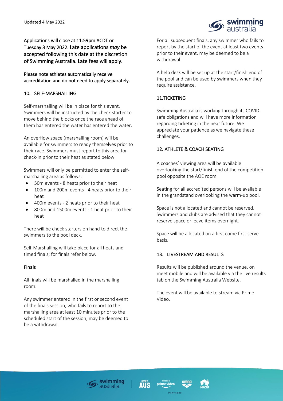

Applications will close at 11:59pm ACDT on Tuesday 3 May 2022. Late applications *may* be accepted following this date at the discretion of Swimming Australia. Late fees will apply.

# Please note athletes automatically receive accreditation and do not need to apply separately.

# 10. SELF-MARSHALLING

Self-marshalling will be in place for this event. Swimmers will be instructed by the check starter to move behind the blocks once the race ahead of them has entered the water has entered the water.

An overflow space (marshalling room) will be available for swimmers to ready themselves prior to their race. Swimmers must report to this area for check-in prior to their heat as stated below:

Swimmers will only be permitted to enter the selfmarshalling area as follows:

- 50m events 8 heats prior to their heat
- 100m and 200m events 4 heats prior to their heat
- 400m events 2 heats prior to their heat
- 800m and 1500m events 1 heat prior to their heat

There will be check starters on hand to direct the swimmers to the pool deck.

Self-Marshalling will take place for all heats and timed finals; for finals refer below.

# Finals

All finals will be marshalled in the marshalling room.

Any swimmer entered in the first or second event of the finals session, who fails to report to the marshalling area at least 10 minutes prior to the scheduled start of the session, may be deemed to be a withdrawal.

For all subsequent finals, any swimmer who fails to report by the start of the event at least two events prior to their event, may be deemed to be a withdrawal.

A help desk will be set up at the start/finish end of the pool and can be used by swimmers when they require assistance.

# 11.TICKETING

Swimming Australia is working through its COVID safe obligations and will have more information regarding ticketing in the near future. We appreciate your patience as we navigate these challenges.

# 12. ATHLETE & COACH SEATING

A coaches' viewing area will be available overlooking the start/finish end of the competition pool opposite the AOE room.

Seating for all accredited persons will be available in the grandstand overlooking the warm-up pool.

Space is not allocated and cannot be reserved. Swimmers and clubs are advised that they cannot reserve space or leave items overnight.

Space will be allocated on a first come first serve basis.

# 13. LIVESTREAM AND RESULTS

Results will be published around the venue, on meet mobile and will be available via the live results tab on the Swimming Australia Website.

The event will be available to stream via Prime Video.